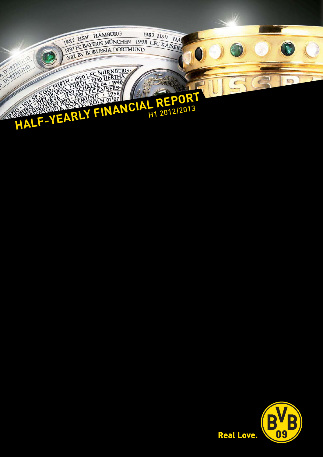

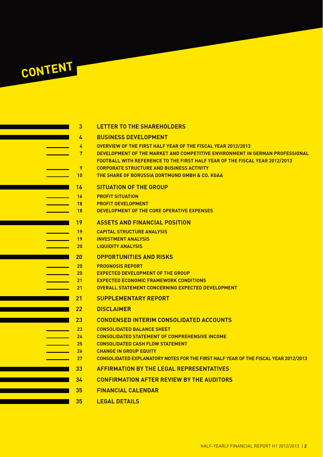# **CONTENT**

# **4 BUSINESS DEVELOPMENT**

- **4 OVERVIEW OF THE FIRST HALF YEAR OF THE FISCAL YEAR 2012/2013**
- **7 DEVELOPMENT OF THE MARKET AND COMPETITIVE ENVIRONMENT IN GERMAN PROFESSIONAL** 
	- **FOOTBALL WITH REFERENCE TO THE FIRST HALF YEAR OF THE FISCAL YEAR 2012/2013**
- **9 CORPORATE STRUCTURE AND BUSINESS ACTIVITY 10 THE SHARE OF BORUSSIA DORTMUND GMBH & CO. KGAA**
	-

# **16 SITUATION OF THE GROUP**

- **16 PROFIT SITUATION**
- **18 PROFIT DEVELOPMENT**
- **18 DEVELOPMENT OF THE CORE OPERATIVE EXPENSES**

#### **19 ASSETS AND FINANCIAL POSITION**

- **19 CAPITAL STRUCTURE ANALYSIS**
- **19 INVESTMENT ANALYSIS**
- **20 LIQUIDITY ANALYSIS**

# **20 OPPORTUNITIES AND RISKS**

- **20 PROGNOSIS REPORT**
- **20 EXPECTED DEVELOPMENT OF THE GROUP**
- **21 EXPECTED ECONOMIC FRAMEWORK CONDITIONS**
- **21 OVERALL STATEMENT CONCERNING EXPECTED DEVELOPMENT**
- **21 SUPPLEMENTARY REPORT**
- **22 DISCLAIMER**

# **23 CONDENSED INTERIM CONSOLIDATED ACCOUNTS**

- **23 CONSOLIDATED BALANCE SHEET**
- **24 CONSOLIDATED STATEMENT OF COMPREHENSIVE INCOME**
- **25 CONSOLIDATED CASH FLOW STATEMENT**
- **26 CHANGE IN GROUP EQUITY**
	- **27 CONSOLIDATED EXPLANATORY NOTES FOR THE FIRST HALF YEAR OF THE FISCAL YEAR 2012/2013**
	- **33 AFFIRMATION BY THE LEGAL REPRESENTATIVES**
	- **34 CONFIRMATION AFTER REVIEW BY THE AUDITORS**
	- **35 FINANCIAL CALENDAR**
	- **35 LEGAL DETAILS**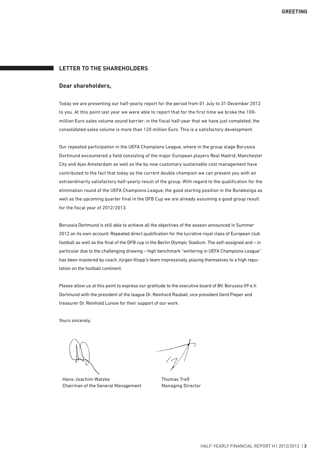# **LETTER TO THE SHAREHOLDERS**

#### **Dear shareholders,**

Today we are presenting our half-yearly report for the period from 01 July to 31 December 2012 to you. At this point last year we were able to report that for the first time we broke the 100 million Euro sales volume sound barrier; in the fiscal half-year that we have just completed, the consolidated sales volume is more than 120 million Euro. This is a satisfactory development.

Our repeated participation in the UEFA Champions League, where in the group stage Borussia Dortmund encountered a field consisting of the major European players Real Madrid, Manchester City and Ajax Amsterdam as well as the by now customary sustainable cost management have contributed to the fact that today as the current double champion we can present you with an extraordinarily satisfactory half-yearly result of the group. With regard to the qualification for the elimination round of the UEFA Champions League, the good starting position in the Bundesliga as well as the upcoming quarter final in the DFB Cup we are already assuming a good group result for the fiscal year of 2012/2013.

Borussia Dortmund is still able to achieve all the objectives of the season announced in Summer 2012 on its own account: Repeated direct qualification for the lucrative royal class of European club football as well as the final of the DFB cup in the Berlin Olympic Stadium. The self-assigned and – in particular due to the challenging drawing – high benchmark "wintering in UEFA Champions League" has been mastered by coach Jürgen Klopp's team impressively, playing themselves to a high reputation on the football continent.

Please allow us at this point to express our gratitude to the executive board of BV. Borussia 09 e.V. Dortmund with the president of the league Dr. Reinhard Rauball, vice president Gerd Pieper and treasurer Dr. Reinhold Lunow for their support of our work.

Yours sincerely,

Hans-Joachim Watzke Chairman of the General Management

Thomas Treß Managing Director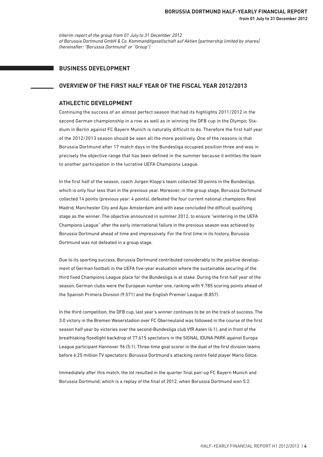*Interim report of the group from 01 July to 31 December 2012 of Borussia Dortmund GmbH & Co. Kommanditgesellschaft auf Aktien [partnership limited by shares] (hereinafter: "Borussia Dortmund" or "Group")*

#### **BUSINESS DEVELOPMENT**

#### **OVERVIEW OF THE FIRST HALF YEAR OF THE FISCAL YEAR 2012/2013**

#### **ATHLECTIC DEVELOPMENT**

Continuing the success of an almost perfect season that had its highlights 2011/2012 in the second German championship in a row as well as in winning the DFB cup in the Olympic Stadium in Berlin against FC Bayern Munich is naturally difficult to do. Therefore the first half year of the 2012/2013 season should be seen all the more positively. One of the reasons is that Borussia Dortmund after 17 match days in the Bundesliga occupied position three and was in precisely the objective range that has been defined in the summer because it entitles the team to another participation in the lucrative UEFA Champions League.

In the first half of the season, coach Jürgen Klopp's team collected 30 points in the Bundesliga, which is only four less than in the previous year. Moreover, in the group stage, Borussia Dortmund collected 14 points (previous year: 4 points), defeated the four current national champions Real Madrid, Manchester City and Ajax Amsterdam and with ease concluded the difficult qualifying stage as the winner. The objective announced in summer 2012, to ensure "wintering in the UEFA Champions League" after the early international failure in the previous season was achieved by Borussia Dortmund ahead of time and impressively. For the first time in its history, Borussia Dortmund was not defeated in a group stage.

Due to its sporting success, Borussia Dortmund contributed considerably to the positive development of German football in the UEFA five-year evaluation where the sustainable securing of the third fixed Champions League place for the Bundesliga is at stake. During the first half year of the season, German clubs were the European number one, ranking with 9.785 scoring points ahead of the Spanish Primera Division (9.571) and the English Premier League (8.857).

In the third competition, the DFB cup, last year's winner continues to be on the track of success. The 3:0 victory in the Bremen Weserstadion over FC Oberneuland was followed in the course of the first season half year by victories over the second-Bundesliga club VfR Aalen (4:1), and in front of the breathtaking floodlight backdrop of 77,615 spectators in the SIGNAL IDUNA PARK against Europa League participant Hannover 96 (5:1). Three-time goal scorer in the duel of the first division teams before 6.25 million TV spectators: Borussia Dortmund's attacking centre field player Mario Götze.

Immediately after this match, the lot resulted in the quarter final pair-up FC Bayern Munich and Borussia Dortmund, which is a replay of the final of 2012, when Borussia Dortmund won 5:2.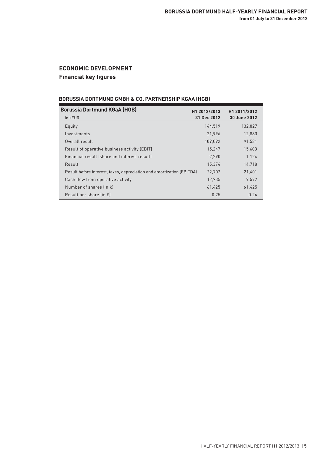# **ECONOMIC DEVELOPMENT Financial key figures**

# **BORUSSIA DORTMUND GMBH & CO. PARTNERSHIP KGAA (HGB)**

| <b>Borussia Dortmund KGaA (HGB)</b>                                   | H1 2012/2013 | H1 2011/2012 |
|-----------------------------------------------------------------------|--------------|--------------|
| in kEUR                                                               | 31 Dec 2012  | 30 June 2012 |
| Equity                                                                | 144,519      | 132,827      |
| Investments                                                           | 21,996       | 12,880       |
| Overall result                                                        | 109,092      | 91,531       |
| Result of operative business activity (EBIT)                          | 15,247       | 15,603       |
| Financial result (share and interest result)                          | 2.290        | 1,124        |
| Result                                                                | 15,374       | 14,718       |
| Result before interest, taxes, depreciation and amortization (EBITDA) | 22.702       | 21,401       |
| Cash flow from operative activity                                     | 12.735       | 9.572        |
| Number of shares (in k)                                               | 61,425       | 61,425       |
| Result per share (in $\epsilon$ )                                     | 0.25         | 0.24         |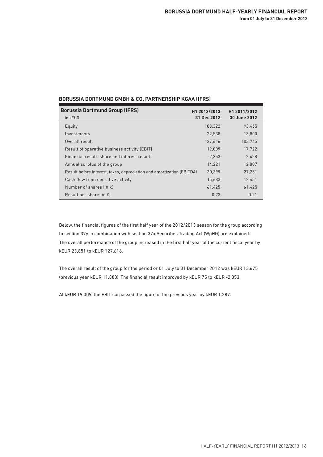| <b>BORUSSIA DORTMUND GMBH &amp; CO. PARTNERSHIP KGAA (IFRS)</b> |  |
|-----------------------------------------------------------------|--|
|-----------------------------------------------------------------|--|

| <b>Borussia Dortmund Group (IFRS)</b>                                 | H1 2012/2013 | H1 2011/2012 |
|-----------------------------------------------------------------------|--------------|--------------|
| in kEUR                                                               | 31 Dec 2012  | 30 June 2012 |
| Equity                                                                | 103,322      | 93,455       |
| Investments                                                           | 22,538       | 13,800       |
| Overall result                                                        | 127,616      | 103,765      |
| Result of operative business activity (EBIT)                          | 19.009       | 17,722       |
| Financial result (share and interest result)                          | $-2.353$     | $-2.428$     |
| Annual surplus of the group                                           | 14,221       | 12,807       |
| Result before interest, taxes, depreciation and amortization (EBITDA) | 30,399       | 27,251       |
| Cash flow from operative activity                                     | 15,683       | 12.451       |
| Number of shares (in k)                                               | 61,425       | 61,425       |
| Result per share (in $\epsilon$ )                                     | 0.23         | 0.21         |

Below, the financial figures of the first half year of the 2012/2013 season for the group according to section 37y in combination with section 37x Securities Trading Act (WpHG) are explained: The overall performance of the group increased in the first half year of the current fiscal year by kEUR 23,851 to kEUR 127,616.

The overall result of the group for the period or 01 July to 31 December 2012 was kEUR 13,675 (previous year kEUR 11,883). The financial result improved by kEUR 75 to kEUR -2,353.

At kEUR 19,009, the EBIT surpassed the figure of the previous year by kEUR 1,287.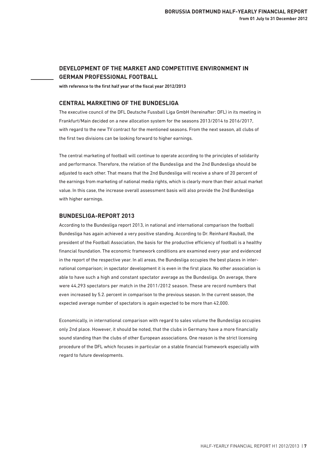# **DEVELOPMENT OF THE MARKET AND COMPETITIVE ENVIRONMENT IN GERMAN PROFESSIONAL FOOTBALL**

**with reference to the first half year of the fiscal year 2012/2013**

#### **CENTRAL MARKETING OF THE BUNDESLIGA**

The executive council of the DFL Deutsche Fussball Liga GmbH (hereinafter: DFL) in its meeting in Frankfurt/Main decided on a new allocation system for the seasons 2013/2014 to 2016/2017, with regard to the new TV contract for the mentioned seasons. From the next season, all clubs of the first two divisions can be looking forward to higher earnings.

The central marketing of football will continue to operate according to the principles of solidarity and performance. Therefore, the relation of the Bundesliga and the 2nd Bundesliga should be adjusted to each other. That means that the 2nd Bundesliga will receive a share of 20 percent of the earnings from marketing of national media rights, which is clearly more than their actual market value. In this case, the increase overall assessment basis will also provide the 2nd Bundesliga with higher earnings.

#### **BUNDESLIGA-REPORT 2013**

According to the Bundesliga report 2013, in national and international comparison the football Bundesliga has again achieved a very positive standing. According to Dr. Reinhard Rauball, the president of the Football Association, the basis for the productive efficiency of football is a healthy financial foundation. The economic framework conditions are examined every year and evidenced in the report of the respective year. In all areas, the Bundesliga occupies the best places in international comparison; in spectator development it is even in the first place. No other association is able to have such a high and constant spectator average as the Bundesliga. On average, there were 44,293 spectators per match in the 2011/2012 season. These are record numbers that even increased by 5.2. percent in comparison to the previous season. In the current season, the expected average number of spectators is again expected to be more than 42,000.

Economically, in international comparison with regard to sales volume the Bundesliga occupies only 2nd place. However, it should be noted, that the clubs in Germany have a more financially sound standing than the clubs of other European associations. One reason is the strict licensing procedure of the DFL which focuses in particular on a stable financial framework especially with regard to future developments.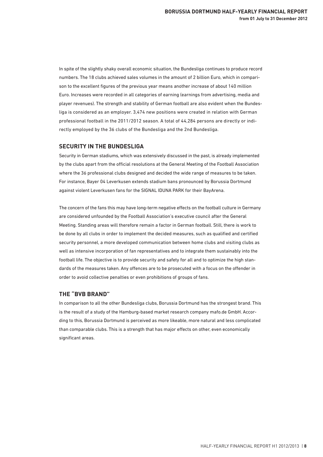In spite of the slightly shaky overall economic situation, the Bundesliga continues to produce record numbers. The 18 clubs achieved sales volumes in the amount of 2 billion Euro, which in comparison to the excellent figures of the previous year means another increase of about 140 million Euro. Increases were recorded in all categories of earning (earnings from advertising, media and player revenues). The strength and stability of German football are also evident when the Bundesliga is considered as an employer. 3,474 new positions were created in relation with German professional football in the 2011/2012 season. A total of 44,284 persons are directly or indirectly employed by the 36 clubs of the Bundesliga and the 2nd Bundesliga.

#### **SECURITY IN THE BUNDESLIGA**

Security in German stadiums, which was extensively discussed in the past, is already implemented by the clubs apart from the official resolutions at the General Meeting of the Football Association where the 36 professional clubs designed and decided the wide range of measures to be taken. For instance, Bayer 04 Leverkusen extends stadium bans pronounced by Borussia Dortmund against violent Leverkusen fans for the SIGNAL IDUNA PARK for their BayArena.

The concern of the fans this may have long-term negative effects on the football culture in Germany are considered unfounded by the Football Association's executive council after the General Meeting. Standing areas will therefore remain a factor in German football. Still, there is work to be done by all clubs in order to implement the decided measures, such as qualified and certified security personnel, a more developed communication between home clubs and visiting clubs as well as intensive incorporation of fan representatives and to integrate them sustainably into the football life. The objective is to provide security and safety for all and to optimize the high standards of the measures taken. Any offences are to be prosecuted with a focus on the offender in order to avoid collective penalties or even prohibitions of groups of fans.

#### **THE "BVB BRAND"**

In comparison to all the other Bundesliga clubs, Borussia Dortmund has the strongest brand. This is the result of a study of the Hamburg-based market research company mafo.de GmbH. According to this, Borussia Dortmund is perceived as more likeable, more natural and less complicated than comparable clubs. This is a strength that has major effects on other, even economically significant areas.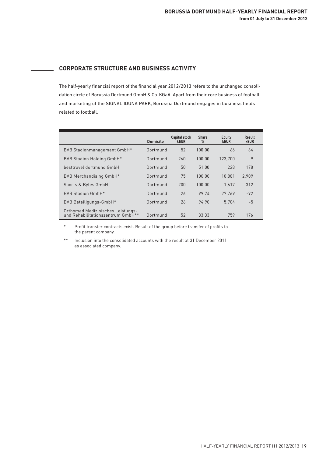# **CORPORATE STRUCTURE AND BUSINESS ACTIVITY**

The half-yearly financial report of the financial year 2012/2013 refers to the unchanged consolidation circle of Borussia Dortmund GmbH & Co. KGaA. Apart from their core business of football and marketing of the SIGNAL IDUNA PARK, Borussia Dortmund engages in business fields related to football.

|                                                                        | <b>Domicile</b> | <b>Capital stock</b><br><b>kEUR</b> | <b>Share</b><br>$\%$ | <b>Equity</b><br><b>kEUR</b> | Result<br><b>kEUR</b> |  |
|------------------------------------------------------------------------|-----------------|-------------------------------------|----------------------|------------------------------|-----------------------|--|
| BVB Stadionmanagement GmbH*                                            | Dortmund        | 52                                  | 100.00               | 66                           | 64                    |  |
| BVB Stadion Holding GmbH*                                              | Dortmund        | 260                                 | 100.00               | 123.700                      | $-9$                  |  |
| besttravel dortmund GmbH                                               | Dortmund        | 50                                  | 51.00                | 228                          | 178                   |  |
| BVB Merchandising GmbH*                                                | Dortmund        | 75                                  | 100.00               | 10.881                       | 2,909                 |  |
| Sports & Bytes GmbH                                                    | Dortmund        | 200                                 | 100.00               | 1.617                        | 312                   |  |
| BVB Stadion GmbH*                                                      | Dortmund        | 26                                  | 99.74                | 27.769                       | $-92$                 |  |
| BVB Beteiligungs-GmbH*                                                 | Dortmund        | 26                                  | 94.90                | 5,704                        | $-5$                  |  |
| Orthomed Medizinisches Leistungs-<br>und Rehabilitationszentrum GmbH** | Dortmund        | 52                                  | 33.33                | 759                          | 176                   |  |

Profit transfer contracts exist. Result of the group before transfer of profits to the parent company.

\*\* Inclusion into the consolidated accounts with the result at 31 December 2011 as associated company.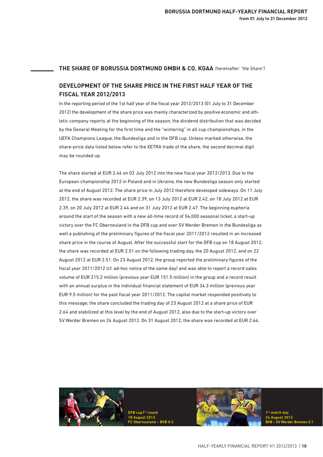#### **THE SHARE OF BORUSSIA DORTMUND GMBH & CO. KGAA**  *(hereinafter: "the Share")*

# **DEVELOPMENT OF THE SHARE PRICE IN THE FIRST HALF YEAR OF THE FISCAL YEAR 2012/2013**

In the reporting period of the 1st half year of the fiscal year 2012/2013 (01 July to 31 December 2012) the development of the share price was mainly characterized by positive economic and athletic company reports at the beginning of the season, the dividend distribution that was decided by the General Meeting for the first time and the "wintering" in all cup championships, in the UEFA Champions League, the Bundesliga and in the DFB cup. Unless marked otherwise, the share-price data listed below refer to the XETRA trade of the share, the second decimal digit may be rounded up.

The share started at EUR 2.46 on 02 July 2012 into the new fiscal year 2012/2013. Due to the European championship 2012 in Poland and in Ukraine, the new Bundesliga season only started at the end of August 2012. The share price in July 2012 therefore developed sideways. On 11 July 2012, the share was recorded at EUR 2.39, on 13 July 2012 at EUR 2.42, on 18 July 2012 at EUR 2.39, on 20 July 2012 at EUR 2.44 and on 31 July 2012 at EUR 2.47. The beginning euphoria around the start of the season with a new all-time record of 54,000 seasonal ticket, a start-up victory over the FC Oberneuland in the DFB cup and over SV Werder Bremen in the Bundesliga as well a publishing of the preliminary figures of the fiscal year 2011/2012 resulted in an increased share price in the course of August. After the successful start for the DFB cup on 18 August 2012, the share was recorded at EUR 2.51 on the following trading day, the 20 August 2012, and on 22 August 2012 at EUR 2.51. On 23 August 2012, the group reported the preliminary figures of the fiscal year 2011/2012 (cf. ad-hoc notice of the same day) and was able to report a record sales volume of EUR 215.2 million (previous year EUR 151.5 million) in the group and a record result with an annual surplus in the individual financial statement of EUR 34.3 million (previous year EUR 9.5 million) for the past fiscal year 2011/2012. The capital market responded positively to this message; the share concluded the trading day of 23 August 2012 at a share price of EUR 2.64 and stabilized at this level by the end of August 2012, also due to the start-up victory over SV Werder Bremen on 24 August 2012. On 31 August 2012, the share was recorded at EUR 2.64.

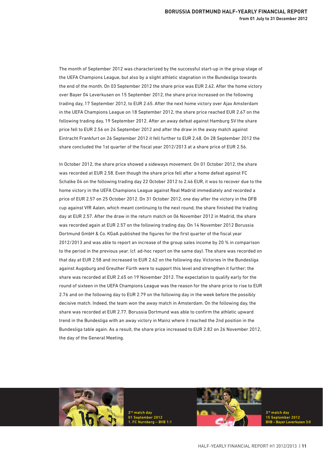The month of September 2012 was characterized by the successful start-up in the group stage of the UEFA Champions League, but also by a slight athletic stagnation in the Bundesliga towards the end of the month. On 03 September 2012 the share price was EUR 2.62. After the home victory over Bayer 04 Leverkusen on 15 September 2012, the share price increased on the following trading day, 17 September 2012, to EUR 2.65. After the next home victory over Ajax Amsterdam in the UEFA Champions League on 18 September 2012, the share price reached EUR 2.67 on the following trading day, 19 September 2012. After an away defeat against Hamburg SV the share price fell to EUR 2.56 on 24 September 2012 and after the draw in the away match against Eintracht Frankfurt on 26 September 2012 it fell further to EUR 2.48. On 28 September 2012 the share concluded the 1st quarter of the fiscal year 2012/2013 at a share price of EUR 2.56.

In October 2012, the share price showed a sideways movement. On 01 October 2012, the share was recorded at EUR 2.58. Even though the share price fell after a home defeat against FC Schalke 04 on the following trading day 22 October 2012 to 2.46 EUR, it was to recover due to the home victory in the UEFA Champions League against Real Madrid immediately and recorded a price of EUR 2.57 on 25 October 2012. On 31 October 2012, one day after the victory in the DFB cup against VfR Aalen, which meant continuing to the next round, the share finished the trading day at EUR 2.57. After the draw in the return match on 06 November 2012 in Madrid, the share was recorded again at EUR 2.57 on the following trading day. On 14 November 2012 Borussia Dortmund GmbH & Co. KGaA published the figures for the first quarter of the fiscal year 2012/2013 and was able to report an increase of the group sales income by 20 % in comparison to the period in the previous year. (cf. ad-hoc report on the same day). The share was recorded on that day at EUR 2.58 and increased to EUR 2.62 on the following day. Victories in the Bundesliga against Augsburg and Greuther Fürth were to support this level and strengthen it further; the share was recorded at EUR 2.65 on 19 November 2012. The expectation to qualify early for the round of sixteen in the UEFA Champions League was the reason for the share price to rise to EUR 2.76 and on the following day to EUR 2.79 on the following day in the week before the possibly decisive match. Indeed, the team won the away match in Amsterdam. On the following day, the share was recorded at EUR 2.77. Borussia Dortmund was able to confirm the athletic upward trend in the Bundesliga with an away victory in Mainz where it reached the 2nd position in the Bundesliga table again. As a result, the share price increased to EUR 2.82 on 26 November 2012, the day of the General Meeting.



2<sup>nd</sup> match day 01 September 2012 1. FC Nurnberg – BVB 1:1



3rd match day 15 September 2012 BVB – Bayer Leverkusen 3:0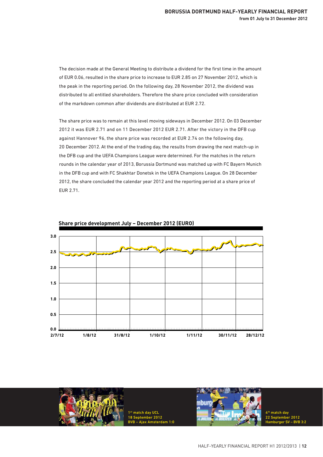The decision made at the General Meeting to distribute a dividend for the first time in the amount of EUR 0.06, resulted in the share price to increase to EUR 2.85 on 27 November 2012, which is the peak in the reporting period. On the following day, 28 November 2012, the dividend was distributed to all entitled shareholders. Therefore the share price concluded with consideration of the markdown common after dividends are distributed at EUR 2.72.

The share price was to remain at this level moving sideways in December 2012. On 03 December 2012 it was EUR 2.71 and on 11 December 2012 EUR 2.71. After the victory in the DFB cup against Hannover 96, the share price was recorded at EUR 2.74 on the following day, 20 December 2012. At the end of the trading day, the results from drawing the next match-up in the DFB cup and the UEFA Champions League were determined. For the matches in the return rounds in the calendar year of 2013, Borussia Dortmund was matched up with FC Bayern Munich in the DFB cup and with FC Shakhtar Donetsk in the UEFA Champions League. On 28 December 2012, the share concluded the calendar year 2012 and the reporting period at a share price of EUR 2.71.



**Share price development July – December 2012 (EURO)**



st match day UC 18 September 2012  $m<sub>1</sub>$ :0

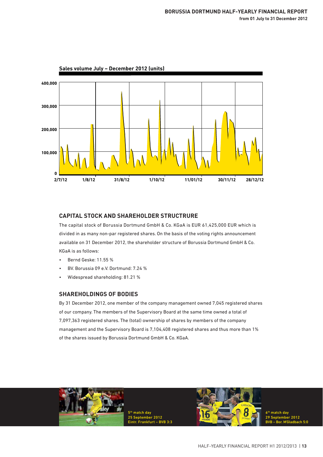

**Sales volume July – December 2012 (units)**

# **CAPITAL STOCK AND SHAREHOLDER STRUCTRURE**

The capital stock of Borussia Dortmund GmbH & Co. KGaA is EUR 61,425,000 EUR which is divided in as many non-par registered shares. On the basis of the voting rights announcement available on 31 December 2012, the shareholder structure of Borussia Dortmund GmbH & Co. KGaA is as follows:

- Bernd Geske: 11.55 %
- BV. Borussia 09 e.V. Dortmund: 7.24 %
- Widespread shareholding: 81.21 %

# **SHAREHOLDINGS OF BODIES**

By 31 December 2012, one member of the company management owned 7,045 registered shares of our company. The members of the Supervisory Board at the same time owned a total of 7,097,363 registered shares. The (total) ownership of shares by members of the company management and the Supervisory Board is 7,104,408 registered shares and thus more than 1% of the shares issued by Borussia Dortmund GmbH & Co. KGaA.



5<sup>th</sup> match day 25 September 2012 Eintr. Frankfurt – BVB 3:3



6th match day  $2012$ BVB – Bor. M'Gladbach 5:0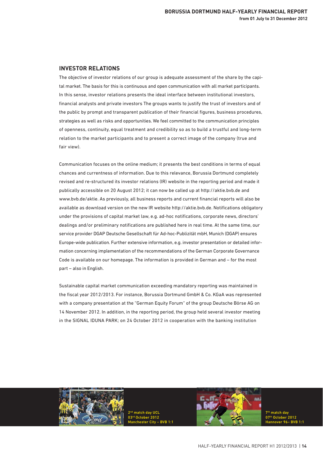#### **INVESTOR RELATIONS**

The objective of investor relations of our group is adequate assessment of the share by the capital market. The basis for this is continuous and open communication with all market participants. In this sense, investor relations presents the ideal interface between institutional investors, financial analysts and private investors The groups wants to justify the trust of investors and of the public by prompt and transparent publication of their financial figures, business procedures, strategies as well as risks and opportunities. We feel committed to the communication principles of openness, continuity, equal treatment and credibility so as to build a trustful and long-term relation to the market participants and to present a correct image of the company (true and fair view).

Communication focuses on the online medium; it presents the best conditions in terms of equal chances and currentness of information. Due to this relevance, Borussia Dortmund completely revised and re-structured its investor relations (IR) website in the reporting period and made it publically accessible on 20 August 2012; it can now be called up at http://aktie.bvb.de and www.bvb.de/aktie. As previously, all business reports and current financial reports will also be available as download version on the new IR website http://aktie.bvb.de. Notifications obligatory under the provisions of capital market law, e.g. ad-hoc notifications, corporate news, directors' dealings and/or preliminary notifications are published here in real time. At the same time, our service provider DGAP Deutsche Gesellschaft für Ad-hoc-Publizität mbH, Munich (DGAP) ensures Europe-wide publication. Further extensive information, e.g. investor presentation or detailed information concerning implementation of the recommendations of the German Corporate Governance Code is available on our homepage. The information is provided in German and – for the most part – also in English.

Sustainable capital market communication exceeding mandatory reporting was maintained in the fiscal year 2012/2013. For instance, Borussia Dortmund GmbH & Co. KGaA was represented with a company presentation at the "German Equity Forum" of the group Deutsche Börse AG on 14 November 2012. In addition, in the reporting period, the group held several investor meeting in the SIGNAL IDUNA PARK; on 24 October 2012 in cooperation with the banking institution



nd match day UCI rd October 2012 Manchester City – BVB 1:1



<sup>th</sup> match day 07th October 2012 Hannover 96– BVB 1:1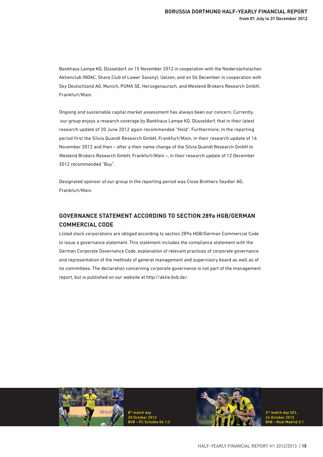Bankhaus Lampe KG, Düsseldorf, on 15 November 2012 in cooperation with the Niedersächsischen Aktienclub (NDAC, Share Club of Lower Saxony), Uelzen, and on 04 December in cooperation with Sky Deutschland AG, Munich, PUMA SE, Herzogenaurach, and Westend Brokers Research GmbH, Frankfurt/Main.

Ongoing and sustainable capital market assessment has always been our concern. Currently, our group enjoys a research coverage by Bankhaus Lampe KG, Düsseldorf, that in their latest research update of 20 June 2012 again recommended "Hold". Furthermore, in the reporting period first the Silvia Quandt Research GmbH, Frankfurt/Main, in their research update of 16 November 2012 and then – after a their name change of the Silvia Quandt Research GmbH to Westend Brokers Research GmbH, Frankfurt/Main –, in their research update of 12 December 2012 recommended "Buy".

Designated sponsor of our group in the reporting period was Close Brothers Seydler AG, Frankfurt/Main.

# **GOVERNANCE STATEMENT ACCORDING TO SECTION 289a HGB/GERMAN COMMERCIAL CODE**

Listed stock corporations are obliged according to section 289a HGB/German Commercial Code to issue a governance statement. This statement includes the compliance statement with the German Corporate Governance Code, explanation of relevant practices of corporate governance and representation of the methods of general management and supervisory board as well as of its committees. The declaration concerning corporate governance is not part of the management report, but is published on our website at http://aktie.bvb.de/.



8th match day 20 October 2012 BVB – FC Schalke 04 1:2

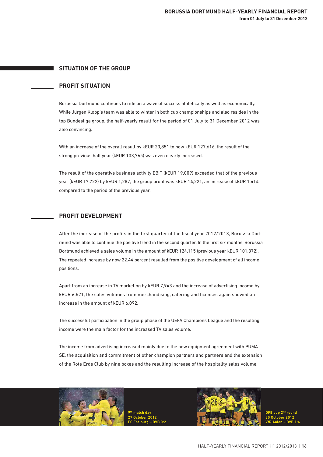# **SITUATION OF THE GROUP**

# **PROFIT SITUATION**

Borussia Dortmund continues to ride on a wave of success athletically as well as economically. While Jürgen Klopp's team was able to winter in both cup championships and also resides in the top Bundesliga group, the half-yearly result for the period of 01 July to 31 December 2012 was also convincing.

With an increase of the overall result by kEUR 23,851 to now kEUR 127,616, the result of the strong previous half year (kEUR 103,765) was even clearly increased.

The result of the operative business activity EBIT (kEUR 19,009) exceeded that of the previous year (kEUR 17,722) by kEUR 1,287; the group profit was kEUR 14,221, an increase of kEUR 1,414 compared to the period of the previous year.

# **PROFIT DEVELOPMENT**

After the increase of the profits in the first quarter of the fiscal year 2012/2013, Borussia Dortmund was able to continue the positive trend in the second quarter. In the first six months, Borussia Dortmund achieved a sales volume in the amount of kEUR 124,115 (previous year kEUR 101,372). The repeated increase by now 22.44 percent resulted from the positive development of all income positions.

Apart from an increase in TV marketing by kEUR 7,943 and the increase of advertising income by kEUR 6,521, the sales volumes from merchandising, catering and licenses again showed an increase in the amount of kEUR 6,092.

The successful participation in the group phase of the UEFA Champions League and the resulting income were the main factor for the increased TV sales volume.

The income from advertising increased mainly due to the new equipment agreement with PUMA SE, the acquisition and commitment of other champion partners and partners and the extension of the Rote Erde Club by nine boxes and the resulting increase of the hospitality sales volume.



9th match day 27 October 2012 FC Freiburg – BVB 0:2



DFB cup 2<sup>nd</sup> round 30 October 2012 VfR Aalen – BVB 1:4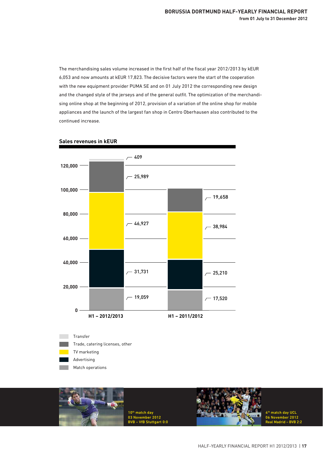The merchandising sales volume increased in the first half of the fiscal year 2012/2013 by kEUR 6,053 and now amounts at kEUR 17,823. The decisive factors were the start of the cooperation with the new equipment provider PUMA SE and on 01 July 2012 the corresponding new design and the changed style of the jerseys and of the general outfit. The optimization of the merchandising online shop at the beginning of 2012, provision of a variation of the online shop for mobile appliances and the launch of the largest fan shop in Centro Oberhausen also contributed to the continued increase.



#### **Sales revenues in kEUR**

Match operations

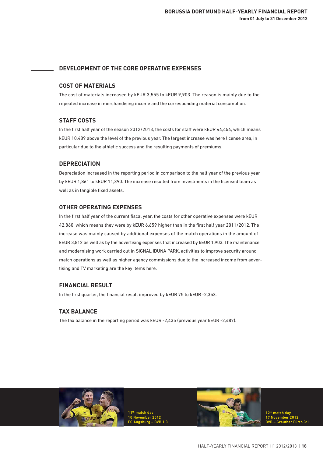# **DEVELOPMENT OF THE CORE OPERATIVE EXPENSES**

# **COST OF MATERIALS**

The cost of materials increased by kEUR 3,555 to kEUR 9,903. The reason is mainly due to the repeated increase in merchandising income and the corresponding material consumption.

# **STAFF COSTS**

In the first half year of the season 2012/2013, the costs for staff were kEUR 44,454, which means kEUR 10,489 above the level of the previous year. The largest increase was here license area, in particular due to the athletic success and the resulting payments of premiums.

# **DEPRECIATION**

Depreciation increased in the reporting period in comparison to the half year of the previous year by kEUR 1,861 to kEUR 11,390. The increase resulted from investments in the licensed team as well as in tangible fixed assets.

# **OTHER OPERATING EXPENSES**

In the first half year of the current fiscal year, the costs for other operative expenses were kEUR 42,860, which means they were by kEUR 6,659 higher than in the first half year 2011/2012. The increase was mainly caused by additional expenses of the match operations in the amount of kEUR 3,812 as well as by the advertising expenses that increased by kEUR 1,903. The maintenance and modernising work carried out in SIGNAL IDUNA PARK, activities to improve security around match operations as well as higher agency commissions due to the increased income from advertising and TV marketing are the key items here.

# **FINANCIAL RESULT**

In the first quarter, the financial result improved by kEUR 75 to kEUR -2,353.

# **TAX BALANCE**

The tax balance in the reporting period was kEUR -2,435 (previous year kEUR -2,487).

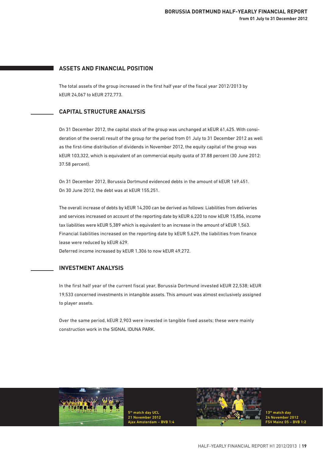# **ASSETS AND FINANCIAL POSITION**

The total assets of the group increased in the first half year of the fiscal year 2012/2013 by kEUR 24,067 to kEUR 272,773.

# **CAPITAL STRUCTURE ANALYSIS**

On 31 December 2012, the capital stock of the group was unchanged at kEUR 61,425. With consideration of the overall result of the group for the period from 01 July to 31 December 2012 as well as the first-time distribution of dividends in November 2012, the equity capital of the group was kEUR 103,322, which is equivalent of an commercial equity quota of 37.88 percent (30 June 2012: 37.58 percent).

On 31 December 2012, Borussia Dortmund evidenced debts in the amount of kEUR 169.451. On 30 June 2012, the debt was at kEUR 155,251.

The overall increase of debts by kEUR 14,200 can be derived as follows: Liabilities from deliveries and services increased on account of the reporting date by kEUR 6,220 to now kEUR 15,856, income tax liabilities were kEUR 5,389 which is equivalent to an increase in the amount of kEUR 1,563. Financial liabilities increased on the reporting date by kEUR 5,629, the liabilities from finance lease were reduced by kEUR 629.

Deferred income increased by kEUR 1,306 to now kEUR 49,272.

#### **INVESTMENT ANALYSIS**

In the first half year of the current fiscal year, Borussia Dortmund invested kEUR 22,538; kEUR 19,533 concerned investments in intangible assets. This amount was almost exclusively assigned to player assets.

Over the same period, kEUR 2,903 were invested in tangible fixed assets; these were mainly construction work in the SIGNAL IDUNA PARK.



5<sup>th</sup> match day UCL 21 November 2012 Ajax Amsterdam – BVB 1:4

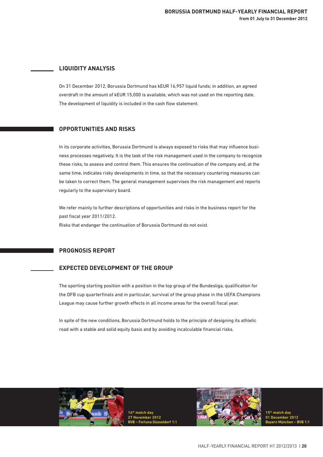# **LIQUIDITY ANALYSIS**

On 31 December 2012, Borussia Dortmund has kEUR 16,957 liquid funds; in addition, an agreed overdraft in the amount of kEUR 15,000 is available, which was not used on the reporting date. The development of liquidity is included in the cash flow statement.

# **OPPORTUNITIES AND RISKS**

In its corporate activities, Borussia Dortmund is always exposed to risks that may influence business processes negatively. It is the task of the risk management used in the company to recognize these risks, to assess and control them. This ensures the continuation of the company and, at the same time, indicates risky developments in time, so that the necessary countering measures can be taken to correct them. The general management supervises the risk management and reports regularly to the supervisory board.

We refer mainly to further descriptions of opportunities and risks in the business report for the past fiscal year 2011/2012. Risks that endanger the continuation of Borussia Dortmund do not exist.

# **PROGNOSIS REPORT**

# **EXPECTED DEVELOPMENT OF THE GROUP**

The sporting starting position with a position in the top group of the Bundesliga, qualification for the DFB cup quarterfinals and in particular, survival of the group phase in the UEFA Champions League may cause further growth effects in all income areas for the overall fiscal year.

In spite of the new conditions, Borussia Dortmund holds to the principle of designing its athletic road with a stable and solid equity basis and by avoiding incalculable financial risks.



14th match day 27 November 2012 BVB – Fortuna Düsseldorf 1:1



15th match day 01 December 2012 Bayern München – BVB 1:1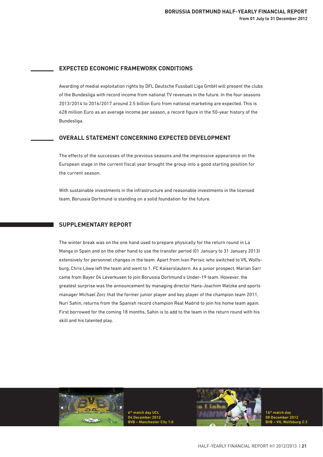# **EXPECTED ECONOMIC FRAMEWORK CONDITIONS**

Awarding of medial exploitation rights by DFL Deutsche Fussball Liga GmbH will present the clubs of the Bundesliga with record income from national TV revenues in the future. In the four seasons 2013/2014 to 2016/2017 around 2.5 billion Euro from national marketing are expected. This is 628 million Euro as an average income per season, a record figure in the 50-year history of the Bundesliga.

#### **OVERALL STATEMENT CONCERNING EXPECTED DEVELOPMENT**

The effects of the successes of the previous seasons and the impressive appearance on the European stage in the current fiscal year brought the group into a good starting position for the current season.

With sustainable investments in the infrastructure and reasonable investments in the licensed team, Borussia Dortmund is standing on a solid foundation for the future.

#### **SUPPLEMENTARY REPORT**

The winter break was on the one hand used to prepare physically for the return round in La Manga in Spain and on the other hand to use the transfer period (01 January to 31 January 2013) extensively for personnel changes in the team. Apart from Ivan Perisic who switched to VfL Wolfsburg, Chris Löwe left the team and went to 1. FC Kaiserslautern. As a junior prospect, Marian Sarr came from Bayer 04 Leverkusen to join Borussia Dortmund's Under-19 team. However, the greatest surprise was the announcement by managing director Hans-Joachim Watzke and sports manager Michael Zorc that the former junior player and key player of the champion team 2011, Nuri Sahin, returns from the Spanish record champion Real Madrid to join his home team again. First borrowed for the coming 18 months, Sahin is to add to the team in the return round with his skill and his talented play.



atch day U 04 December 2012 BVB – Manchester City 1:0



16th match day 08 December 2012 BVB – VfL Wolfsburg 2:3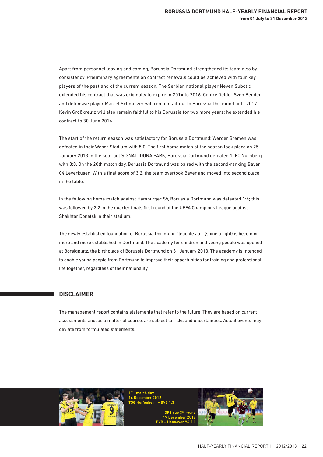Apart from personnel leaving and coming, Borussia Dortmund strengthened its team also by consistency. Preliminary agreements on contract renewals could be achieved with four key players of the past and of the current season. The Serbian national player Neven Subotic extended his contract that was originally to expire in 2014 to 2016. Centre fielder Sven Bender and defensive player Marcel Schmelzer will remain faithful to Borussia Dortmund until 2017. Kevin Großkreutz will also remain faithful to his Borussia for two more years; he extended his contract to 30 June 2016.

The start of the return season was satisfactory for Borussia Dortmund; Werder Bremen was defeated in their Weser Stadium with 5:0. The first home match of the season took place on 25 January 2013 in the sold-out SIGNAL IDUNA PARK; Borussia Dortmund defeated 1. FC Nurnberg with 3:0. On the 20th match day, Borussia Dortmund was paired with the second-ranking Bayer 04 Leverkusen. With a final score of 3:2, the team overtook Bayer and moved into second place in the table.

In the following home match against Hamburger SV, Borussia Dortmund was defeated 1:4; this was followed by 2:2 in the quarter finals first round of the UEFA Champions League against Shakhtar Donetsk in their stadium.

The newly established foundation of Borussia Dortmund "leuchte auf" (shine a light) is becoming more and more established in Dortmund. The academy for children and young people was opened at Borsigplatz, the birthplace of Borussia Dortmund on 31 January 2013. The academy is intended to enable young people from Dortmund to improve their opportunities for training and professional life together, regardless of their nationality.

# **DISCLAIMER**

The management report contains statements that refer to the future. They are based on current assessments and, as a matter of course, are subject to risks and uncertainties. Actual events may deviate from formulated statements.



17<sup>th</sup> match day 16 December 2012 TSG Hoffenheim – BVB 1:3 DFB cup 3rd roun 19 December 2012

BVB – Hannover 96 5:1

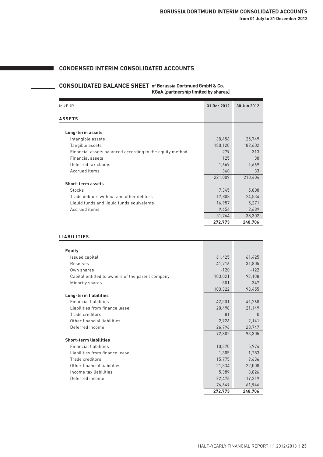# **CONDENSED INTERIM CONSOLIDATED ACCOUNTS**

#### **CONSOLIDATED BALANCE SHEET of Borussia Dortmund GmbH & Co. KGaA [partnership limited by shares]**

| in kEUR                                                  | 31 Dec 2012 | 30 Jun 2012 |
|----------------------------------------------------------|-------------|-------------|
| <b>ASSETS</b>                                            |             |             |
|                                                          |             |             |
| Long-term assets                                         |             |             |
| Intangible assets                                        | 38,456      | 25,749      |
| Tangible assets                                          | 180,120     | 182,602     |
| Financial assets balanced according to the equity method | 279         | 313         |
| Financial assets                                         | 125         | 38          |
| Deferred tax claims                                      | 1,669       | 1,669       |
| Accrued items                                            | 360         | 33          |
|                                                          | 221,009     | 210,404     |
| Short-term assets                                        |             |             |
| Stocks                                                   | 7,345       | 5,808       |
| Trade debtors without and other debtors                  | 17,808      | 24,534      |
| Liquid funds and liquid funds equivalents                | 16,957      | 5,271       |
| Accrued items                                            | 9,654       | 2,689       |
|                                                          | 51,764      | 38,302      |
|                                                          | 272,773     | 248,706     |

#### **LIABILITIES**

| <b>Equity</b>                                    |         |         |
|--------------------------------------------------|---------|---------|
| Issued capital                                   | 61,425  | 61,425  |
| Reserves                                         | 41,716  | 31,805  |
| Own shares                                       | $-120$  | $-122$  |
| Capital entitled to owners of the parent company | 103,021 | 93,108  |
| Minority shares                                  | 301     | 347     |
|                                                  | 103,322 | 93,455  |
| Long-term liabilities                            |         |         |
| <b>Financial liabilities</b>                     | 42,501  | 41,268  |
| Liabilities from finance lease                   | 20,498  | 21,149  |
| Trade creditors                                  | 81      | 0       |
| Other financial liabilities                      | 2,926   | 2,141   |
| Deferred income                                  | 26,796  | 28,747  |
|                                                  | 92,802  | 93,305  |
| <b>Short-term liabilities</b>                    |         |         |
| <b>Financial liabilities</b>                     | 10,370  | 5,974   |
| Liabilities from finance lease                   | 1,305   | 1,283   |
| Trade creditors                                  | 15,775  | 9,636   |
| Other financial liabilities                      | 21,334  | 22,008  |
| Income tax liabilities                           | 5,389   | 3,826   |
| Deferred income                                  | 22,476  | 19,219  |
|                                                  | 76,649  | 61,946  |
|                                                  | 272,773 | 248,706 |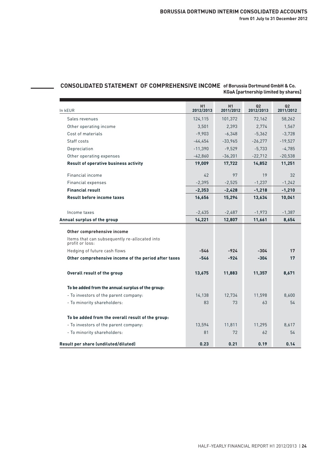# **CONSOLIDATED STATEMENT OF COMPREHENSIVE INCOME of Borussia Dortmund GmbH & Co. KGaA [partnership limited by shares]**

| In kEUR                                                          | H1<br>2012/2013 | H1<br>2011/2012 | Q2<br>2012/2013 | Q2<br>2011/2012 |  |
|------------------------------------------------------------------|-----------------|-----------------|-----------------|-----------------|--|
| Sales revenues                                                   | 124,115         | 101,372         | 72,162          | 58,262          |  |
| Other operating income                                           | 3,501           | 2,393           | 2,774           | 1,567           |  |
| Cost of materials                                                | $-9.903$        | $-6,348$        | $-5,362$        | $-3,728$        |  |
| Staff costs                                                      | $-44,454$       | $-33.965$       | $-26,277$       | $-19,527$       |  |
| Depreciation                                                     | $-11.390$       | $-9.529$        | $-5,733$        | $-4,785$        |  |
| Other operating expenses                                         | $-42,860$       | $-36,201$       | $-22,712$       | $-20,538$       |  |
| Result of operative business activity                            | 19,009          | 17,722          | 14,852          | 11,251          |  |
| Financial income                                                 | 42              | 97              | 19              | 32              |  |
| Financial expenses                                               | $-2,395$        | $-2,525$        | $-1,237$        | $-1,242$        |  |
| <b>Financial result</b>                                          | $-2,353$        | $-2,428$        | $-1,218$        | $-1,210$        |  |
| <b>Result before income taxes</b>                                | 16,656          | 15,294          | 13,634          | 10,041          |  |
| Income taxes                                                     | $-2,435$        | $-2,487$        | $-1,973$        | $-1,387$        |  |
| Annual surplus of the group                                      | 14,221          | 12,807          | 11,661          | 8,654           |  |
| Other comprehensive income                                       |                 |                 |                 |                 |  |
| Items that can subsequently re-allocated into<br>profit or loss: |                 |                 |                 |                 |  |
| Hedging of future cash flows                                     | $-546$          | $-924$          | $-304$          | 17              |  |
| Other comprehensive income of the period after taxes             | $-546$          | $-924$          | $-304$          | 17              |  |
| Overall result of the group                                      | 13,675          | 11,883          | 11,357          | 8,671           |  |
| To be added from the annual surplus of the group:                |                 |                 |                 |                 |  |
| - To investors of the parent company:                            | 14.138          | 12,734          | 11,598          | 8.600           |  |
| - To minority shareholders:                                      | 83              | 73              | 63              | 54              |  |
| To be added from the overall result of the group:                |                 |                 |                 |                 |  |
| - To investors of the parent company:                            | 13,594          | 11,811          | 11,295          | 8.617           |  |
| - To minority shareholders:                                      | 81              | 72              | 62              | 54              |  |
| Result per share (undiluted/diluted)                             | 0.23            | 0.21            | 0.19            | 0.14            |  |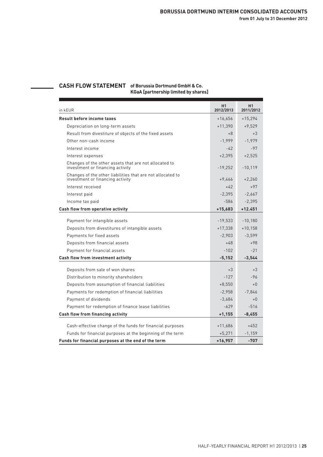# **CASH FLOW STATEMENT of Borussia Dortmund GmbH & Co.**

**KGaA [partnership limited by shares]**

| in kEUR                                                                                        | H1<br>2012/2013 | H1<br>2011/2012 |
|------------------------------------------------------------------------------------------------|-----------------|-----------------|
| <b>Result before income taxes</b>                                                              | $+16,656$       | $+15,294$       |
| Depreciation on long-term assets                                                               | $+11,390$       | $+9,529$        |
| Result from divestiture of objects of the fixed assets                                         | $+8$            | $+3$            |
| Other non-cash income                                                                          | $-1,999$        | $-1,979$        |
| Interest income                                                                                | $-42$           | $-97$           |
| Interest expenses                                                                              | $+2,395$        | $+2,525$        |
| Changes of the other assets that are not allocated to<br>investment or financing activity      | $-19,252$       | $-10,119$       |
| Changes of the other liabilities that are not allocated to<br>investment or financing activity | +9,466          | $+2,260$        |
| Interest received                                                                              | $+42$           | $+97$           |
| Interest paid                                                                                  | $-2,395$        | $-2,667$        |
| Income tax paid                                                                                | $-586$          | $-2,395$        |
| Cash flow from operative activity                                                              | $+15,683$       | $+12.451$       |
|                                                                                                | $-19,533$       | $-10,180$       |
| Payment for intangible assets<br>Deposits from divestitures of intangible assets               | $+17,338$       | $+10,158$       |
|                                                                                                |                 |                 |
| Payments for fixed assets                                                                      | $-2,903$        | $-3,599$        |
| Deposits from financial assets                                                                 | $+48$           | $+98$           |
| Payment for financial assets                                                                   | $-102$          | $-21$           |
| Cash flow from investment activity                                                             | $-5,152$        | $-3,544$        |
| Deposits from sale of won shares                                                               | $+3$            | $+3$            |
| Distribution to minority shareholders                                                          | $-127$          | $-96$           |
| Deposits from assumption of financial liabilities                                              | $+8,550$        | $+0$            |
| Payments for redemption of financial liabilities                                               | $-2,958$        | $-7,846$        |
| Payment of dividends                                                                           | $-3,684$        | $+0$            |
| Payment for redemption of finance lease liabilities                                            | $-629$          | $-516$          |
| Cash flow from financing activity                                                              | $+1,155$        | -8,455          |
|                                                                                                |                 |                 |
| Cash-effective change of the funds for financial purposes                                      | $+11,686$       | $+452$          |
| Funds for financial purposes at the beginning of the term                                      | $+5,271$        | $-1,159$        |
| Funds for financial purposes at the end of the term                                            | $+16,957$       | $-707$          |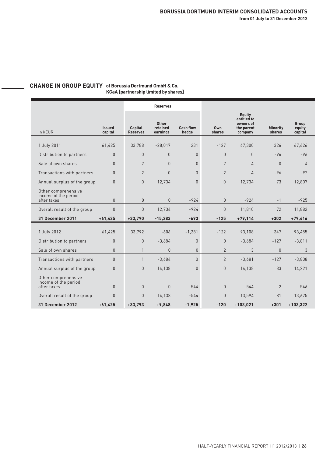#### **CHANGE IN GROUP EQUITY of Borussia Dortmund GmbH & Co. KGaA [partnership limited by shares]**

|                                                               |                                | <b>Reserves</b>                        |                                      |                                  |                               |                                                             |                           |                            |
|---------------------------------------------------------------|--------------------------------|----------------------------------------|--------------------------------------|----------------------------------|-------------------------------|-------------------------------------------------------------|---------------------------|----------------------------|
| In kEUR                                                       | <b>Issued</b><br>capital       | Capital<br><b>Reserves</b>             | <b>Other</b><br>retained<br>earnings | <b>Cash flow</b><br>hedge        | 0wn<br>shares                 | Equity<br>entitled to<br>owners of<br>the parent<br>company | <b>Minority</b><br>shares | Group<br>equity<br>capital |
|                                                               | 61,425                         | 33,788                                 | $-28,017$                            | 231                              | $-127$                        | 67,300                                                      | 326                       | 67,626                     |
| 1 July 2011                                                   |                                |                                        |                                      |                                  |                               |                                                             |                           |                            |
| Distribution to partners                                      | $\Omega$                       | $\Omega$                               | $\Omega$                             | $\Omega$                         | $\Omega$                      | $\Omega$                                                    | $-96$                     | $-96$                      |
| Sale of own shares                                            | $\Omega$                       | $\overline{2}$                         | $\Omega$                             | $\Omega$                         | $\overline{2}$                | 4                                                           | $\cap$                    | $\overline{4}$             |
| Transactions with partners                                    | $\Omega$                       | $\overline{2}$                         | $\theta$                             | $\Omega$                         | $\overline{2}$                | 4                                                           | $-96$                     | $-92$                      |
| Annual surplus of the group                                   | $\Omega$                       | $\Omega$                               | 12,734                               | $\Omega$                         | $\Omega$                      | 12,734                                                      | 73                        | 12,807                     |
| Other comprehensive<br>income of the period<br>after taxes    | $\Omega$                       | $\Omega$                               | $\Omega$                             | $-924$                           | $\overline{0}$                | $-924$                                                      | $-1$                      | $-925$                     |
| Overall result of the group                                   | $\Omega$                       | $\Omega$                               | 12.734                               | $-924$                           | $\Omega$                      | 11.810                                                      | 72                        | 11,882                     |
| 31 December 2011                                              | $+61,425$                      | $+33,790$                              | $-15,283$                            | $-693$                           | $-125$                        | $+79,114$                                                   | $+302$                    | $+79,416$                  |
| 1 July 2012<br>Distribution to partners<br>Sale of own shares | 61,425<br>$\Omega$<br>$\Omega$ | 33,792<br>$\mathbf{0}$<br>$\mathbf{1}$ | $-606$<br>$-3,684$<br>$\Omega$       | $-1,381$<br>$\theta$<br>$\Omega$ | $-122$<br>0<br>$\overline{2}$ | 93,108<br>$-3.684$<br>3                                     | 347<br>$-127$<br>$\Omega$ | 93,455<br>$-3.811$<br>3    |
| Transactions with partners                                    | $\Omega$                       | $\mathbf{1}$                           | $-3,684$                             | $\Omega$                         | 2                             | $-3,681$                                                    | $-127$                    | $-3,808$                   |
| Annual surplus of the group                                   | $\Omega$                       | $\Omega$                               | 14,138                               | $\Omega$                         | $\Omega$                      | 14,138                                                      | 83                        | 14,221                     |
| Other comprehensive<br>income of the period<br>after taxes    | $\Omega$                       | $\mathbf 0$                            | $\mathbf{0}$                         | $-544$                           | $\Omega$                      | $-544$                                                      | $-2$                      | $-546$                     |
| Overall result of the group                                   | $\Omega$                       | $\mathbf{0}$                           | 14,138                               | $-544$                           | 0                             | 13,594                                                      | 81                        | 13,675                     |
| 31 December 2012                                              | $+61,425$                      | $+33,793$                              | $+9,848$                             | $-1,925$                         | $-120$                        | $+103,021$                                                  | $+301$                    | $+103,322$                 |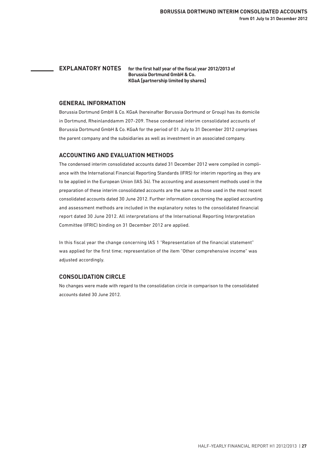**EXPLANATORY NOTES for the first half year of the fiscal year 2012/2013 of Borussia Dortmund GmbH & Co. KGaA [partnership limited by shares]**

#### **GENERAL INFORMATION**

Borussia Dortmund GmbH & Co. KGaA (hereinafter Borussia Dortmund or Group) has its domicile in Dortmund, Rheinlanddamm 207-209. These condensed interim consolidated accounts of Borussia Dortmund GmbH & Co. KGaA for the period of 01 July to 31 December 2012 comprises the parent company and the subsidiaries as well as investment in an associated company.

# **ACCOUNTING AND EVALUATION METHODS**

The condensed interim consolidated accounts dated 31 December 2012 were compiled in compliance with the International Financial Reporting Standards (IFRS) for interim reporting as they are to be applied in the European Union (IAS 34). The accounting and assessment methods used in the preparation of these interim consolidated accounts are the same as those used in the most recent consolidated accounts dated 30 June 2012. Further information concerning the applied accounting and assessment methods are included in the explanatory notes to the consolidated financial report dated 30 June 2012. All interpretations of the International Reporting Interpretation Committee (IFRIC) binding on 31 December 2012 are applied.

In this fiscal year the change concerning IAS 1 "Representation of the financial statement" was applied for the first time; representation of the item "Other comprehensive income" was adjusted accordingly.

# **CONSOLIDATION CIRCLE**

No changes were made with regard to the consolidation circle in comparison to the consolidated accounts dated 30 June 2012.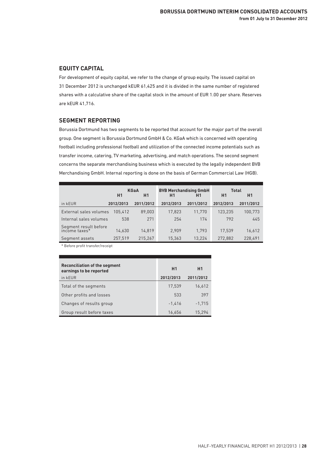# **EQUITY CAPITAL**

For development of equity capital, we refer to the change of group equity. The issued capital on 31 December 2012 is unchanged kEUR 61,425 and it is divided in the same number of registered shares with a calculative share of the capital stock in the amount of EUR 1.00 per share. Reserves are kEUR 41,716.

# **SEGMENT REPORTING**

Borussia Dortmund has two segments to be reported that account for the major part of the overall group. One segment is Borussia Dortmund GmbH & Co. KGaA which is concerned with operating football including professional football and utilization of the connected income potentials such as transfer income, catering, TV marketing, advertising, and match operations. The second segment concerns the separate merchandising business which is executed by the legally independent BVB Merchandising GmbH. Internal reporting is done on the basis of German Commercial Law (HGB).

|                                        | <b>KGaA</b><br>H1<br>H1 |           | <b>BVB Merchandising GmbH</b><br>H1<br>Η1 |           | <b>Total</b><br>H1<br>H1 |           |
|----------------------------------------|-------------------------|-----------|-------------------------------------------|-----------|--------------------------|-----------|
| in kEUR                                | 2012/2013               | 2011/2012 | 2012/2013                                 | 2011/2012 | 2012/2013                | 2011/2012 |
| External sales volumes                 | 105.412                 | 89.003    | 17.823                                    | 11.770    | 123.235                  | 100,773   |
| Internal sales volumes                 | 538                     | 271       | 254                                       | 174       | 792                      | 445       |
| Segment result before<br>income taxes* | 14.630                  | 14.819    | 2.909                                     | 1.793     | 17.539                   | 16,612    |
| Segment assets                         | 257,519                 | 215.267   | 15.363                                    | 13.224    | 272.882                  | 228.491   |

\* Before profit transfer/receipt

| Reconciliation of the segment<br>earnings to be reported | H <sub>1</sub> | H1        |
|----------------------------------------------------------|----------------|-----------|
| in kEUR                                                  | 2012/2013      | 2011/2012 |
| Total of the segments                                    | 17,539         | 16,612    |
| Other profits and losses                                 | 533            | 397       |
| Changes of results group                                 | $-1.416$       | $-1.715$  |
| Group result before taxes                                | 16,656         | 15.294    |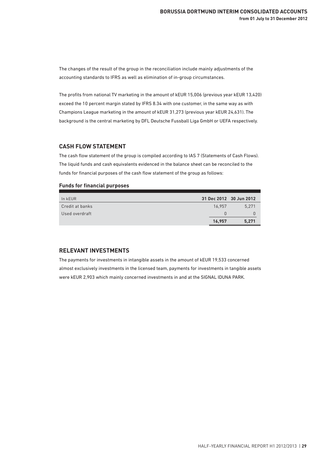The changes of the result of the group in the reconciliation include mainly adjustments of the accounting standards to IFRS as well as elimination of in-group circumstances.

The profits from national TV marketing in the amount of kEUR 15,006 (previous year kEUR 13,420) exceed the 10 percent margin stated by IFRS 8.34 with one customer, in the same way as with Champions League marketing in the amount of kEUR 31,273 (previous year kEUR 24,631). The background is the central marketing by DFL Deutsche Fussball Liga GmbH or UEFA respectively.

#### **CASH FLOW STATEMENT**

The cash flow statement of the group is compiled according to IAS 7 (Statements of Cash Flows). The liquid funds and cash equivalents evidenced in the balance sheet can be reconciled to the funds for financial purposes of the cash flow statement of the group as follows:

#### **Funds for financial purposes**

| In kEUR         | 31 Dec 2012 30 Jun 2012 |       |
|-----------------|-------------------------|-------|
| Credit at banks | 16.957                  | 5.271 |
| Used overdraft  |                         |       |
|                 | 16,957                  | 5.271 |

#### **RELEVANT INVESTMENTS**

The payments for investments in intangible assets in the amount of kEUR 19,533 concerned almost exclusively investments in the licensed team, payments for investments in tangible assets were kEUR 2,903 which mainly concerned investments in and at the SIGNAL IDUNA PARK.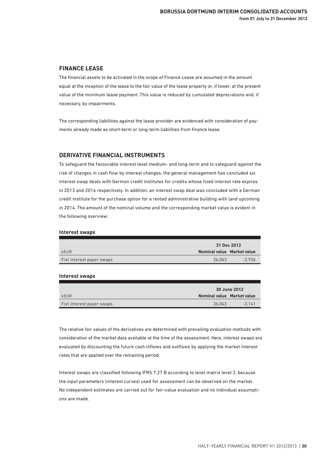# **FINANCE LEASE**

The financial assets to be activated in the scope of Finance Lease are assumed in the amount equal at the inception of the lease to the fair value of the lease property or, if lower, at the present value of the minimum lease payment. This value is reduced by cumulated depreciations and, if necessary, by impairments.

The corresponding liabilities against the lease provider are evidenced with consideration of payments already made as short-term or long-term liabilities from finance lease.

#### **DERIVATIVE FINANCIAL INSTRUMENTS**

To safeguard the favourable interest level medium- and long-term and to safeguard against the risk of changes in cash flow by interest changes, the general management has concluded six interest swap deals with German credit institutes for credits whose fixed interest rate expires in 2013 and 2016 respectively. In addition, an interest swap deal was concluded with a German credit institute for the purchase option for a rented administrative building with land upcoming in 2014. The amount of the nominal volume and the corresponding market value is evident in the following overview:

#### **Interest swaps**

|                           |                            | 31 Dec 2012 |  |
|---------------------------|----------------------------|-------------|--|
| kEUR                      | Nominal value Market value |             |  |
| Fixt interest payer swaps | 36.043                     | $-2.926$    |  |

#### **Interest swaps**

|                           |                            | 30 June 2012 |  |
|---------------------------|----------------------------|--------------|--|
| kEUR                      | Nominal value Market value |              |  |
| Fixt interest payer swaps | 36.043                     | $-2.141$     |  |

The relative fair values of the derivatives are determined with prevailing evaluation methods with consideration of the market data available at the time of the assessment. Here, interest swaps are evaluated by discounting the future cash inflows and outflows by applying the market interest rates that are applied over the remaining period.

Interest swaps are classified following IFRS 7.27 B according to level matrix level 2, because the input parameters (interest curves) used for assessment can be observed on the market. No independent estimates are carried out for fair-value evaluation and no individual assumptions are made.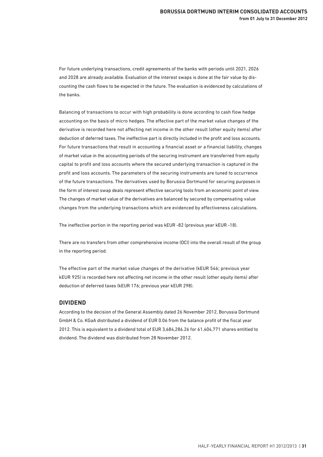For future underlying transactions, credit agreements of the banks with periods until 2021, 2026 and 2028 are already available. Evaluation of the interest swaps is done at the fair value by discounting the cash flows to be expected in the future. The evaluation is evidenced by calculations of the banks.

Balancing of transactions to occur with high probability is done according to cash flow hedge accounting on the basis of micro hedges. The effective part of the market value changes of the derivative is recorded here not affecting net income in the other result (other equity items) after deduction of deferred taxes. The ineffective part is directly included in the profit and loss accounts. For future transactions that result in accounting a financial asset or a financial liability, changes of market value in the accounting periods of the securing instrument are transferred from equity capital to profit and loss accounts where the secured underlying transaction is captured in the profit and loss accounts. The parameters of the securing instruments are tuned to occurrence of the future transactions. The derivatives used by Borussia Dortmund for securing purposes in the form of interest swap deals represent effective securing tools from an economic point of view. The changes of market value of the derivatives are balanced by secured by compensating value changes from the underlying transactions which are evidenced by effectiveness calculations.

The ineffective portion in the reporting period was kEUR -82 (previous year kEUR -18).

There are no transfers from other comprehensive income (OCI) into the overall result of the group in the reporting period.

The effective part of the market value changes of the derivative (kEUR 546; previous year kEUR 925) is recorded here not affecting net income in the other result (other equity items) after deduction of deferred taxes (kEUR 176; previous year kEUR 298).

#### **DIVIDEND**

According to the decision of the General Assembly dated 26 November 2012, Borussia Dortmund GmbH & Co. KGaA distributed a dividend of EUR 0.06 from the balance profit of the fiscal year 2012. This is equivalent to a dividend total of EUR 3,684,286.26 for 61,404,771 shares entitled to dividend. The dividend was distributed from 28 November 2012.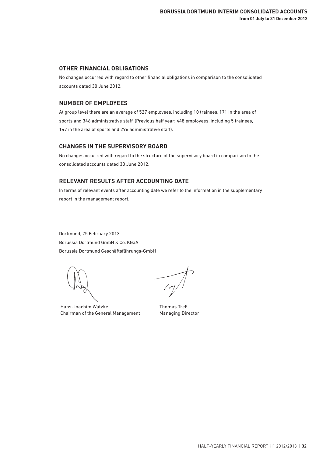# **OTHER FINANCIAL OBLIGATIONS**

No changes occurred with regard to other financial obligations in comparison to the consolidated accounts dated 30 June 2012.

#### **NUMBER OF EMPLOYEES**

At group level there are an average of 527 employees, including 10 trainees, 171 in the area of sports and 346 administrative staff. (Previous half year: 448 employees, including 5 trainees, 147 in the area of sports and 296 administrative staff).

#### **CHANGES IN THE SUPERVISORY BOARD**

No changes occurred with regard to the structure of the supervisory board in comparison to the consolidated accounts dated 30 June 2012.

# **RELEVANT RESULTS AFTER ACCOUNTING DATE**

In terms of relevant events after accounting date we refer to the information in the supplementary report in the management report.

Dortmund, 25 February 2013 Borussia Dortmund GmbH & Co. KGaA Borussia Dortmund Geschäftsführungs-GmbH

Hans-Joachim Watzke Chairman of the General Management

 $\frac{1}{\sqrt{2}}$ 

Thomas Treß Managing Director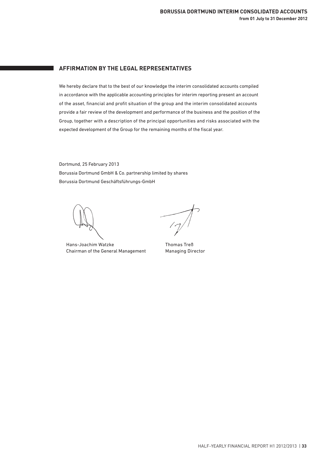# **AFFIRMATION BY THE LEGAL REPRESENTATIVES**

We hereby declare that to the best of our knowledge the interim consolidated accounts compiled in accordance with the applicable accounting principles for interim reporting present an account of the asset, financial and profit situation of the group and the interim consolidated accounts provide a fair review of the development and performance of the business and the position of the Group, together with a description of the principal opportunities and risks associated with the expected development of the Group for the remaining months of the fiscal year.

Dortmund, 25 February 2013 Borussia Dortmund GmbH & Co. partnership limited by shares Borussia Dortmund Geschäftsführungs-GmbH

Hans-Joachim Watzke Chairman of the General Management

 $\frac{1}{2}$ 

Thomas Treß Managing Director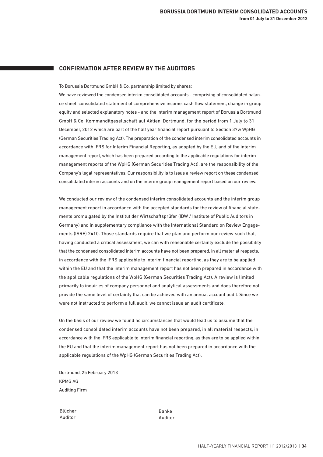# **CONFIRMATION AFTER REVIEW BY THE AUDITORS**

To Borussia Dortmund GmbH & Co. partnership limited by shares:

We have reviewed the condensed interim consolidated accounts - comprising of consolidated balance sheet, consolidated statement of comprehensive income, cash flow statement, change in group equity and selected explanatory notes - and the interim management report of Borussia Dortmund GmbH & Co. Kommanditgesellschaft auf Aktien, Dortmund, for the period from 1 July to 31 December, 2012 which are part of the half year financial report pursuant to Section 37w WpHG (German Securities Trading Act). The preparation of the condensed interim consolidated accounts in accordance with IFRS for Interim Financial Reporting, as adopted by the EU, and of the interim management report, which has been prepared according to the applicable regulations for interim management reports of the WpHG (German Securities Trading Act), are the responsibility of the Company's legal representatives. Our responsibility is to issue a review report on these condensed consolidated interim accounts and on the interim group management report based on our review.

We conducted our review of the condensed interim consolidated accounts and the interim group management report in accordance with the accepted standards for the review of financial statements promulgated by the Institut der Wirtschaftsprüfer (IDW / Institute of Public Auditors in Germany) and in supplementary compliance with the International Standard on Review Engagements (ISRE) 2410. Those standards require that we plan and perform our review such that, having conducted a critical assessment, we can with reasonable certainty exclude the possibility that the condensed consolidated interim accounts have not been prepared, in all material respects, in accordance with the IFRS applicable to interim financial reporting, as they are to be applied within the EU and that the interim management report has not been prepared in accordance with the applicable regulations of the WpHG (German Securities Trading Act). A review is limited primarily to inquiries of company personnel and analytical assessments and does therefore not provide the same level of certainty that can be achieved with an annual account audit. Since we were not instructed to perform a full audit, we cannot issue an audit certificate.

On the basis of our review we found no circumstances that would lead us to assume that the condensed consolidated interim accounts have not been prepared, in all material respects, in accordance with the IFRS applicable to interim financial reporting, as they are to be applied within the EU and that the interim management report has not been prepared in accordance with the applicable regulations of the WpHG (German Securities Trading Act).

Dortmund, 25 February 2013 KPMG AG Auditing Firm

Blücher Auditor

Banke Auditor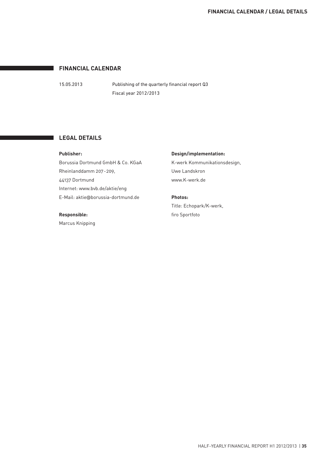# **FINANCIAL CALENDAR**

15.05.2013 Publishing of the quarterly financial report Q3 Fiscal year 2012/2013

#### **LEGAL DETAILS**

**Publisher:**

Borussia Dortmund GmbH & Co. KGaA Rheinlanddamm 207-209, 44137 Dortmund Internet: www.bvb.de/aktie/eng E-Mail: aktie@borussia-dortmund.de

#### **Responsible:**

Marcus Knipping

#### **Design/implementation:**

K-werk Kommunikationsdesign, Uwe Landskron www.K-werk.de

# **Photos:**

Title: Echopark/K-werk, firo Sportfoto